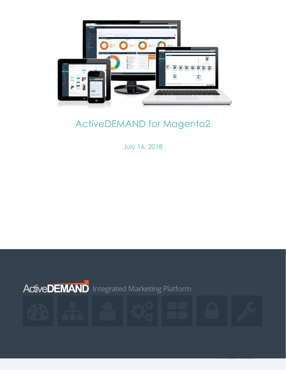

# ActiveDEMAND for Magento2

July 16, 2018

www.ActiveDEMAND.com <sup>1</sup>

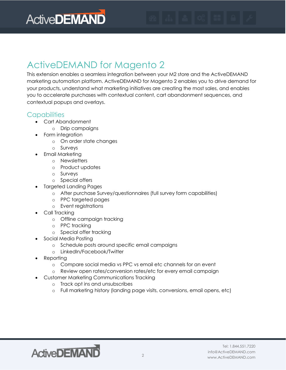

# ActiveDEMAND for Magento 2

This extension enables a seamless integration between your M2 store and the ActiveDEMAND marketing automation platform. ActiveDEMAND for Magento 2 enables you to drive demand for your products, understand what marketing initiatives are creating the most sales, and enables you to accelerate purchases with contextual content, cart abandonment sequences, and contextual popups and overlays.

#### **Capabilities**

- Cart Abandonment
	- o Drip campaigns
- Form integration
	- o On order state changes
	- o Surveys
	- Email Marketing
		- o Newsletters
		- o Product updates
		- o Surveys
		- o Special offers
- Targeted Landing Pages
	- o After purchase Survey/questionnaires (full survey form capabilities)
	- o PPC targeted pages
	- o Event registrations
- Call Tracking
	- o Offline campaign tracking
	- o PPC tracking
	- o Special offer tracking
- Social Media Posting
	- o Schedule posts around specific email campaigns
	- o LinkedIn/Facebook/Twitter
- **Reporting** 
	- o Compare social media vs PPC vs email etc channels for an event
	- o Review open rates/conversion rates/etc for every email campaign
- Customer Marketing Communications Tracking
	- o Track opt ins and unsubscribes
	- o Full marketing history (landing page visits, conversions, email opens, etc)

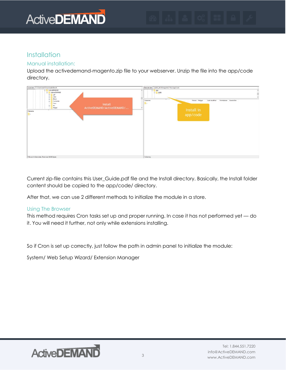# **ActiveDEMAND**

#### **Installation**

#### Manual installation:

Upload the activedemand-magento.zip file to your webserver. Unzip the file into the app/code directory.



Current zip-file contains this User\_Guide.pdf file and the Install directory. Basically, the Install folder content should be copied to the app/code/ directory.

After that, we can use 2 different methods to initialize the module in a store.

#### Using The Browser

This method requires Cron tasks set up and proper running. In case it has not performed yet — do it. You will need it further, not only while extensions installing.

So if Cron is set up correctly, just follow the path in admin panel to initialize the module:

System/ Web Setup Wizard/ Extension Manager

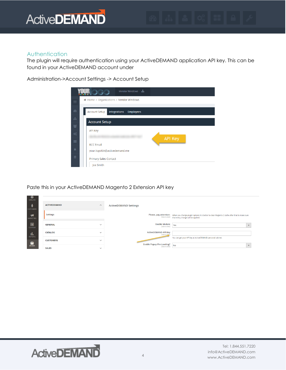#### Authentication

**Barbara** 

The plugin will require authentication using your ActiveDEMAND application API key. This can be found in your ActiveDEMAND account under

Administration->Account Settings -> Account Setup

|              | Vendor Windows A                                  |                |
|--------------|---------------------------------------------------|----------------|
| 三            | ← Home > Organizations > Vendor Windows           |                |
| $\circledR$  | Account Setup<br>Integrations<br><b>Employees</b> |                |
| a.<br>晉      | <b>Account Setup</b>                              |                |
| $\Omega_3^0$ | <b>API Key</b>                                    |                |
| 喆            | <b>BCC Email</b>                                  | <b>API Key</b> |
| $\triangle$  | your-logotbk@activedemand.me                      |                |
| û            | <b>Primary Sales Contact</b>                      |                |
|              | Joe Smith                                         |                |

Paste this in your ActiveDEMAND Magento 2 Extension API key

| CATALOG               |                     |                         |                                                         |                                                                                                                                                                        |
|-----------------------|---------------------|-------------------------|---------------------------------------------------------|------------------------------------------------------------------------------------------------------------------------------------------------------------------------|
| <b>CUSTOMERS</b>      | <b>ACTIVEDEMAND</b> | $\widehat{\phantom{a}}$ | <b>ActiveDEMAND Settings</b>                            |                                                                                                                                                                        |
| ч<br><b>MARKETING</b> | Settings            |                         |                                                         | Please, pay attention: When you change plugin options it is better to clear Magento 2 cache after that to make sure<br>[store view] that every change will be applied. |
| 圖<br><b>CONTENT</b>   | <b>GENERAL</b>      | $\checkmark$            | <b>Enable Module</b><br>[store view]                    | Yes                                                                                                                                                                    |
| u.<br><b>REPORTS</b>  | <b>CATALOG</b>      | $\checkmark$            | <b>ActiveDEMAND API Key</b><br>[store view              |                                                                                                                                                                        |
| 伵                     | <b>CUSTOMERS</b>    | $\checkmark$            |                                                         | You can get your API key at ActiveDEMAND personal cabinet.                                                                                                             |
| <b>STORES</b>         | <b>SALES</b>        | $\checkmark$            | <b>Enable Popup Pre-Loading?</b><br><b>Istore view1</b> | N <sub>o</sub>                                                                                                                                                         |

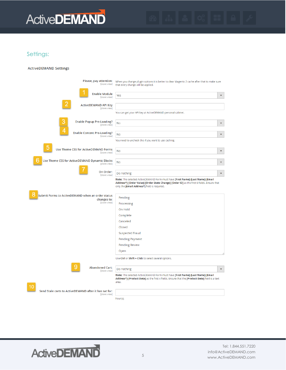

#### Settings:

#### **ActiveDEMAND Settings**

| Please, pay attention:<br>[store view]                                                | When you change plugin options it is better to clear Magento 2 cache after that to make sure<br>that every change will be applied.                                                                                           |                         |
|---------------------------------------------------------------------------------------|------------------------------------------------------------------------------------------------------------------------------------------------------------------------------------------------------------------------------|-------------------------|
| <b>Enable Module</b><br>[store view]                                                  | Yes                                                                                                                                                                                                                          | ٠                       |
| <b>ActiveDEMAND API Key</b><br>[store view]                                           |                                                                                                                                                                                                                              |                         |
|                                                                                       | You can get your API key at ActiveDEMAND personal cabinet.                                                                                                                                                                   |                         |
| 3<br><b>Enable Popup Pre-Loading?</b><br>[store view]                                 | <b>No</b>                                                                                                                                                                                                                    | $\overline{\mathbf{v}}$ |
| <b>Enable Content Pre-Loading?</b><br>[store view]                                    | <b>No</b>                                                                                                                                                                                                                    | v                       |
|                                                                                       | You need to uncheck this if you want to use caching.                                                                                                                                                                         |                         |
| Use Theme CSS for ActiveDEMAND Forms<br>[store view]                                  | <b>No</b>                                                                                                                                                                                                                    | $\overline{\mathbf{v}}$ |
| Use Theme CSS for ActiveDEMAND Dynamic Blocks<br>[store view]                         | <b>No</b>                                                                                                                                                                                                                    | $\overline{\mathbf{v}}$ |
| On Order:<br>[store view]                                                             | Do nothing                                                                                                                                                                                                                   | $\overline{\mathbf{v}}$ |
|                                                                                       | Note: The selected ActiveDEMAND Form must have [First Name]-[Last Name]-[Email<br>Address*]-[Order Value]-[Order State Change]-[Order ID] as the first 6 fields. Ensure that<br>only the [Email Address*] field is required. |                         |
| O<br>Submit Forms to ActiveDEMAND when an order status<br>changes to:<br>[store view] | Pending                                                                                                                                                                                                                      |                         |
|                                                                                       | Processing                                                                                                                                                                                                                   |                         |
|                                                                                       | On Hold<br>Complete                                                                                                                                                                                                          |                         |
|                                                                                       | Canceled                                                                                                                                                                                                                     |                         |
|                                                                                       | Closed                                                                                                                                                                                                                       |                         |
|                                                                                       | Suspected Fraud                                                                                                                                                                                                              |                         |
|                                                                                       | <b>Pending Payment</b>                                                                                                                                                                                                       |                         |
|                                                                                       | <b>Pending Review</b>                                                                                                                                                                                                        |                         |
|                                                                                       | Open                                                                                                                                                                                                                         |                         |
|                                                                                       | Use Ctrl or Shift + Click to select several options.                                                                                                                                                                         |                         |
| <b>Abandoned Cart:</b><br>[store view]                                                | Do nothing                                                                                                                                                                                                                   | $\overline{\mathbf v}$  |
|                                                                                       | Note: The selected ActiveDEMAND Form must have [First Name]-[Last Name]-[Email<br>Address*]-[Product Data] as the first 4 fields. Ensure that the [Product Data] field is a text<br>area.                                    |                         |
| Send Stale carts to ActiveDEMAND after it has sat for:                                |                                                                                                                                                                                                                              |                         |
| [store view]                                                                          | hour(s).                                                                                                                                                                                                                     |                         |



Tel: 1.844.551.7220 info@ActiveDEMAND.com Example 2011 Million Communicative DEMAND.com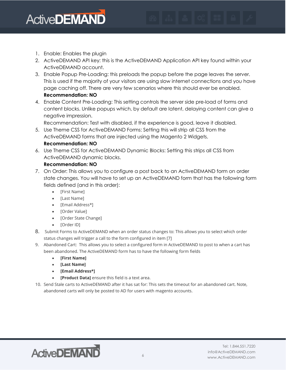

- 1. Enable: Enables the plugin
- 2. ActiveDEMAND API key: this is the ActiveDEMAND Application API key found within your ActiveDEMAND account.
- 3. Enable Popup Pre-Loading: this preloads the popup before the page leaves the server. This is used if the majority of your visitors are using slow internet connections and you have page caching off. There are very few scenarios where this should ever be enabled. **Recommendation: NO**
- 4. Enable Content Pre-Loading: This setting controls the server side pre-load of forms and content blocks. Unlike popups which, by default are latent, delaying content can give a negative impression.

Recommendation: Test with disabled, if the experience is good, leave it disabled. 5. Use Theme CSS for ActiveDEMAND Forms: Setting this will strip all CSS from the

- ActiveDEMAND forms that are injected using the Magento 2 Widgets. **Recommendation: NO**
- 6. Use Theme CSS for ActiveDEMAND Dynamic Blocks: Setting this strips all CSS from ActiveDEMAND dynamic blocks.

#### **Recommendation: NO**

- 7. On Order: This allows you to configure a post back to an ActiveDEMAND form on order state changes. You will have to set up an ActiveDEMAND form that has the following form fields defined (and in this order):
	- [First Name]
	- [Last Name]
	- [Email Address\*]
	- [Order Value]
	- [Order State Change]
	- [Order ID]
- 8. Submit Forms to ActiveDEMAND when an order status changes to: This allows you to select which order status changes will trigger a call to the form configured in item [7]
- 9. Abandoned Cart: This allows you to select a configured form in ActiveDEMAND to post to when a cart has been abandoned. The ActiveDEMAND form has to have the following form fields
	- **[First Name]**
	- **[Last Name]**
	- **[Email Address\*]**
	- **[Product Data]** ensure this field is a text area.
- 10. Send Stale carts to ActiveDEMAND after it has sat for: This sets the timeout for an abandoned cart. Note, abandoned carts will only be posted to AD for users with magento accounts.

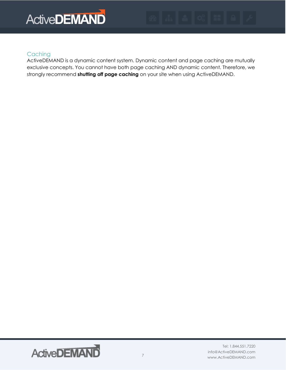

#### **Caching**

ActiveDEMAND is a dynamic content system. Dynamic content and page caching are mutually exclusive concepts. You cannot have both page caching AND dynamic content. Therefore, we strongly recommend **shutting off page caching** on your site when using ActiveDEMAND.

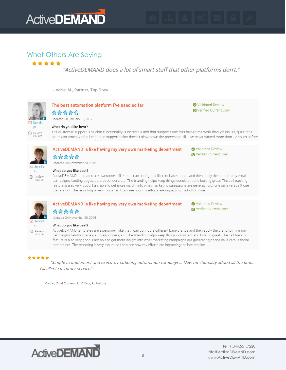

#### What Others Are Saying\*\*\*\*\*

"ActiveDEMAND does a lot of smart stuff that other platforms don't."

- Adriel M., Partner, Top Draw



# ☆☆☆☆☆

Updated On November 20, 2015



#### What do you like best?

ActiveDEMAND templates are awesome. I like that I can configure different base brands and then apply the brand to my email campaigns, landing pages, autoresponders, etc. The branding helps keep things consistent and looking great. The call tracking feature is also very good. I am able to get more insight into what marketing campaigns are generating phone calls versus those that are not. The reporting is very robust so I can see how my efforts are impacting the bottom line.



#### ActiveDEMAND is like having my very own marketing department ☆☆☆☆☆

Validated Review **O** Verified Current User

**O** Verified Current User

Updated On November 20, 2015

### $\cap$

**1** Review<br>Source

#### What do you like best?

ActiveDEMAND templates are awesome. I like that I can configure different base brands and then apply the brand to my email campaigns, landing pages, autoresponders, etc. The branding helps keep things consistent and looking great. The call tracking feature is also very good. I am able to get more insight into what marketing campaigns are generating phone calls versus those that are not. The reporting is very robust so I can see how my efforts are impacting the bottom line.

#### \*\*\*\*\*

"Simple to implement and execute marketing automation campaigns. New functionality added all the time. Excellent customer service!"

- Carl H., Chief Commercial Officer, RelinkLabs